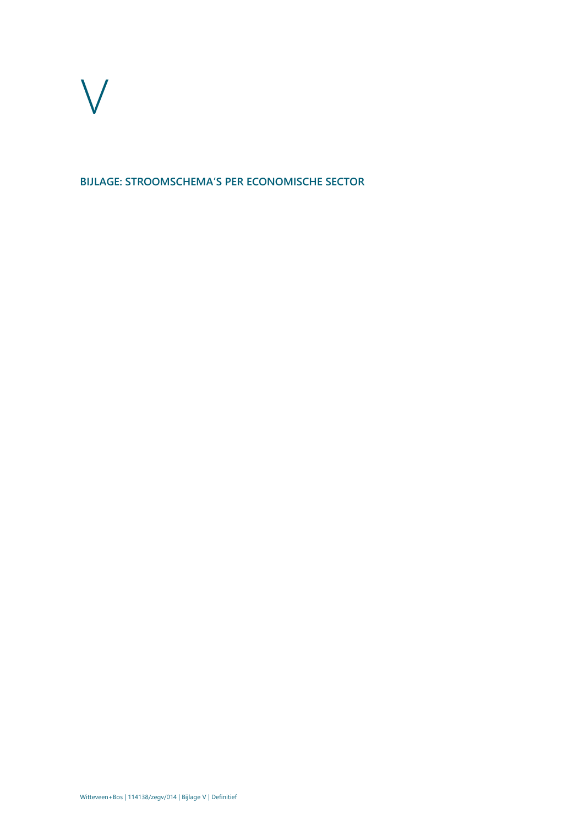

**BIJLAGE: STROOMSCHEMA'S PER ECONOMISCHE SECTOR**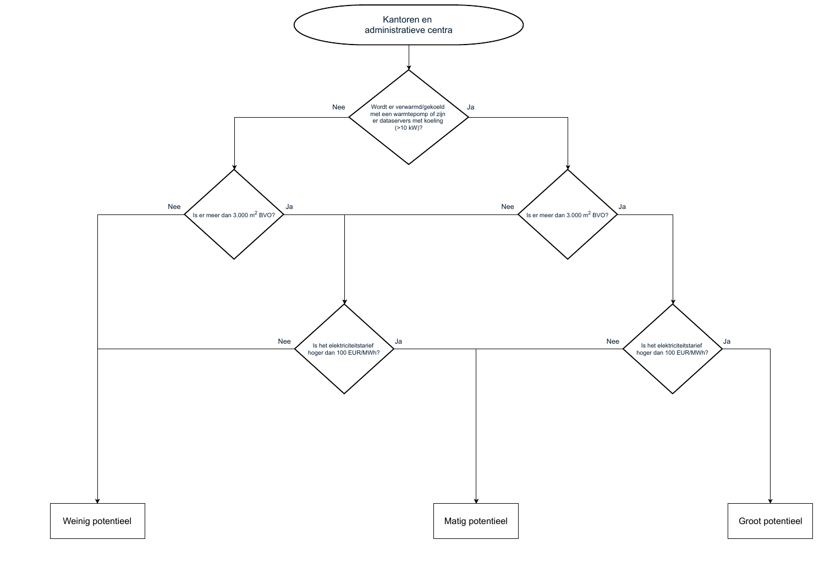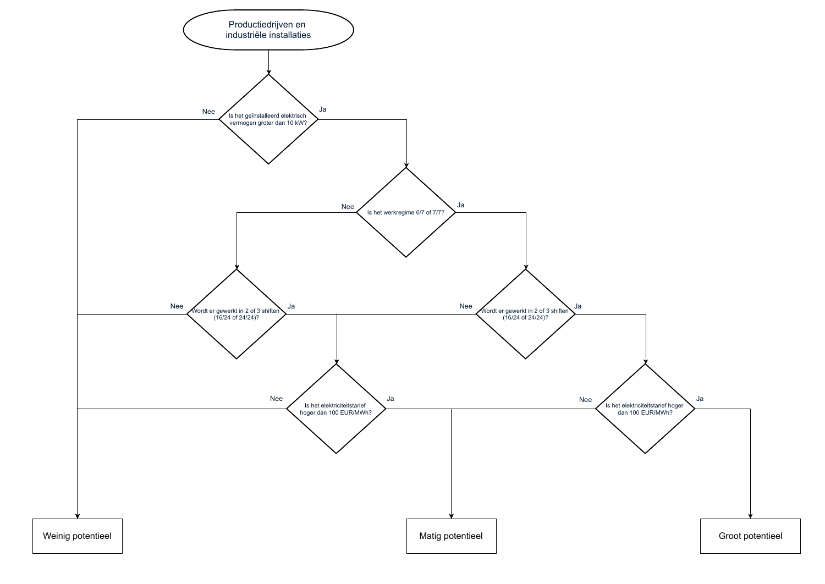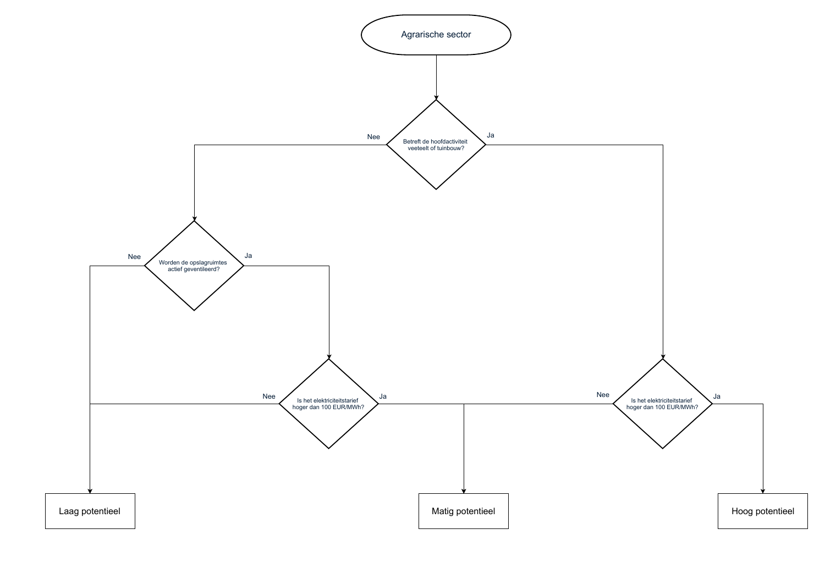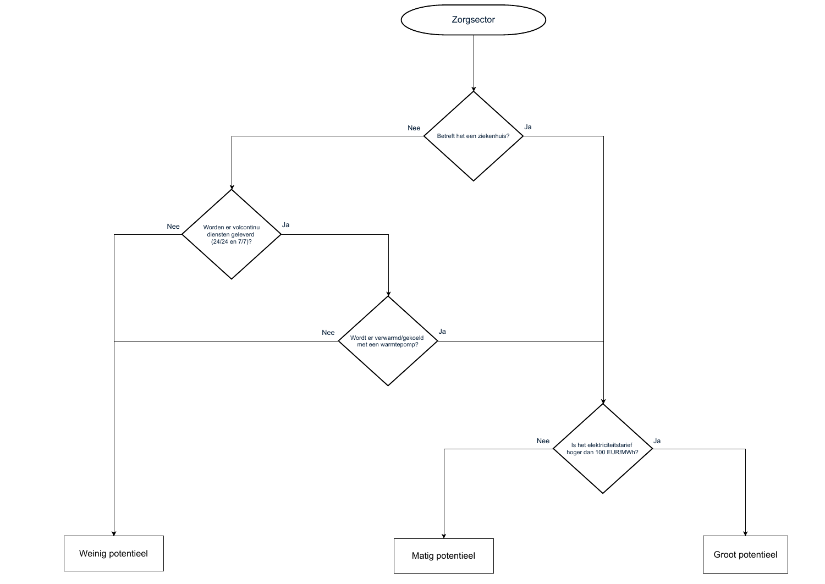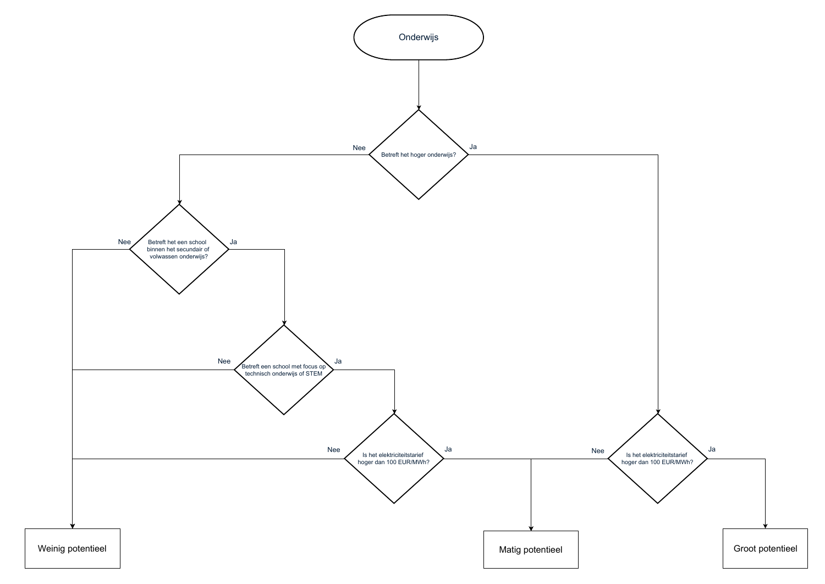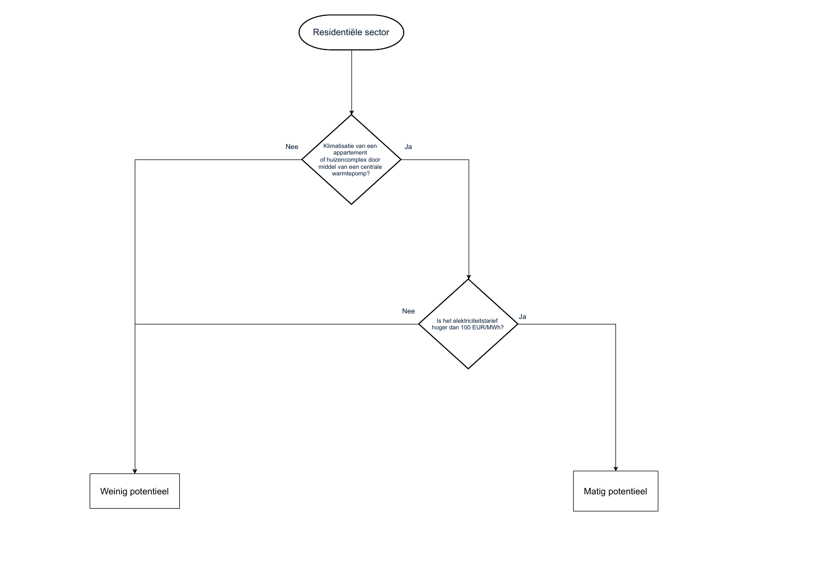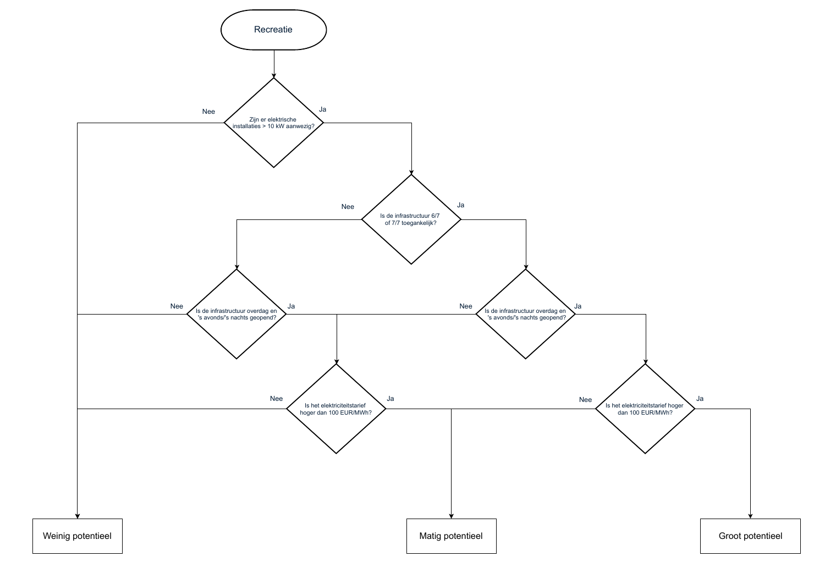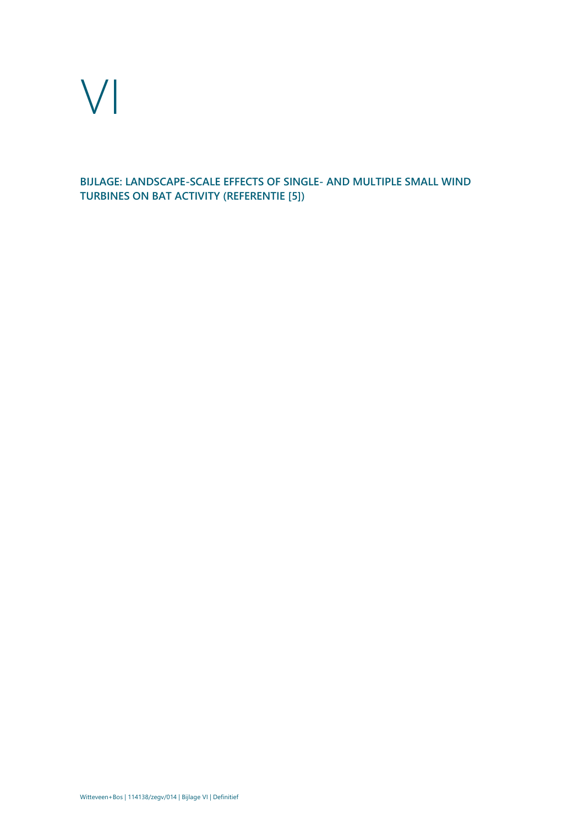

**BIJLAGE: LANDSCAPE-SCALE EFFECTS OF SINGLE- AND MULTIPLE SMALL WIND TURBINES ON BAT ACTIVITY (REFERENTIE [5])**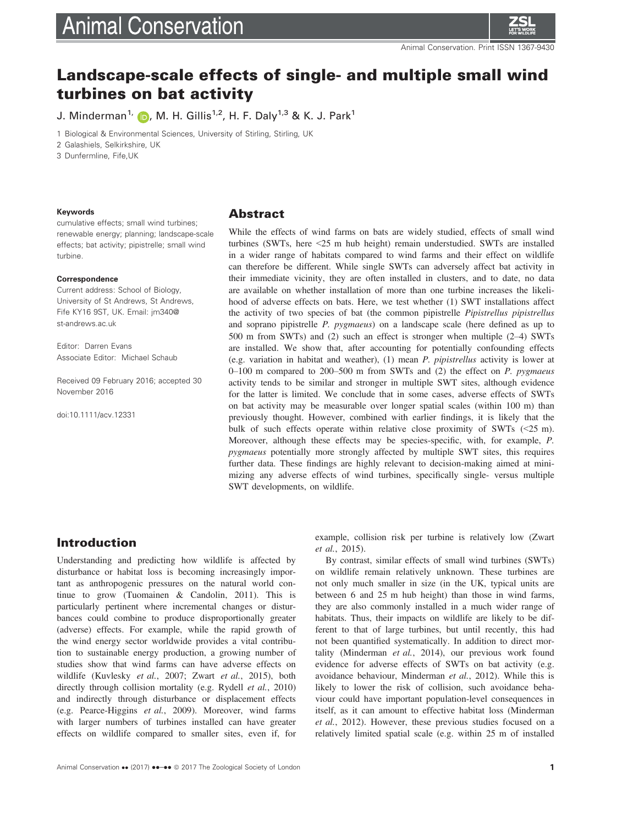# **Animal Conservation**



## Landscape-scale effects of single- and multiple small wind turbines on bat activity

J. Minderman<sup>1,</sup>  $\bullet$ , M. H. Gillis<sup>1,2</sup>, H. F. Daly<sup>1,3</sup> & K. J. Park<sup>1</sup>

1 Biological & Environmental Sciences, University of Stirling, Stirling, UK

2 Galashiels, Selkirkshire, UK

3 Dunfermline, Fife,UK

#### Keywords

cumulative effects; small wind turbines; renewable energy; planning; landscape-scale effects; bat activity; pipistrelle; small wind turbine.

#### Correspondence

Current address: School of Biology, University of St Andrews, St Andrews, Fife KY16 9ST, UK. Email: jm340@ st-andrews.ac.uk

Editor: Darren Evans Associate Editor: Michael Schaub

Received 09 February 2016; accepted 30 November 2016

doi:10.1111/acv.12331

### Abstract

While the effects of wind farms on bats are widely studied, effects of small wind turbines (SWTs, here <25 m hub height) remain understudied. SWTs are installed in a wider range of habitats compared to wind farms and their effect on wildlife can therefore be different. While single SWTs can adversely affect bat activity in their immediate vicinity, they are often installed in clusters, and to date, no data are available on whether installation of more than one turbine increases the likelihood of adverse effects on bats. Here, we test whether (1) SWT installations affect the activity of two species of bat (the common pipistrelle *Pipistrellus pipistrellus* and soprano pipistrelle P. pygmaeus) on a landscape scale (here defined as up to 500 m from SWTs) and (2) such an effect is stronger when multiple (2–4) SWTs are installed. We show that, after accounting for potentially confounding effects (e.g. variation in habitat and weather), (1) mean P. pipistrellus activity is lower at  $0-100$  m compared to 200-500 m from SWTs and (2) the effect on P. pygmaeus activity tends to be similar and stronger in multiple SWT sites, although evidence for the latter is limited. We conclude that in some cases, adverse effects of SWTs on bat activity may be measurable over longer spatial scales (within 100 m) than previously thought. However, combined with earlier findings, it is likely that the bulk of such effects operate within relative close proximity of SWTs (<25 m). Moreover, although these effects may be species-specific, with, for example, P. pygmaeus potentially more strongly affected by multiple SWT sites, this requires further data. These findings are highly relevant to decision-making aimed at minimizing any adverse effects of wind turbines, specifically single- versus multiple SWT developments, on wildlife.

## Introduction

Understanding and predicting how wildlife is affected by disturbance or habitat loss is becoming increasingly important as anthropogenic pressures on the natural world continue to grow (Tuomainen & Candolin, 2011). This is particularly pertinent where incremental changes or disturbances could combine to produce disproportionally greater (adverse) effects. For example, while the rapid growth of the wind energy sector worldwide provides a vital contribution to sustainable energy production, a growing number of studies show that wind farms can have adverse effects on wildlife (Kuvlesky et al., 2007; Zwart et al., 2015), both directly through collision mortality (e.g. Rydell et al., 2010) and indirectly through disturbance or displacement effects (e.g. Pearce-Higgins et al., 2009). Moreover, wind farms with larger numbers of turbines installed can have greater effects on wildlife compared to smaller sites, even if, for

ferent to that of large turbines, but until recently, this had

et al., 2015).

not been quantified systematically. In addition to direct mortality (Minderman et al., 2014), our previous work found evidence for adverse effects of SWTs on bat activity (e.g. avoidance behaviour, Minderman et al., 2012). While this is likely to lower the risk of collision, such avoidance behaviour could have important population-level consequences in itself, as it can amount to effective habitat loss (Minderman et al., 2012). However, these previous studies focused on a relatively limited spatial scale (e.g. within 25 m of installed

example, collision risk per turbine is relatively low (Zwart

By contrast, similar effects of small wind turbines (SWTs) on wildlife remain relatively unknown. These turbines are not only much smaller in size (in the UK, typical units are between 6 and 25 m hub height) than those in wind farms, they are also commonly installed in a much wider range of habitats. Thus, their impacts on wildlife are likely to be dif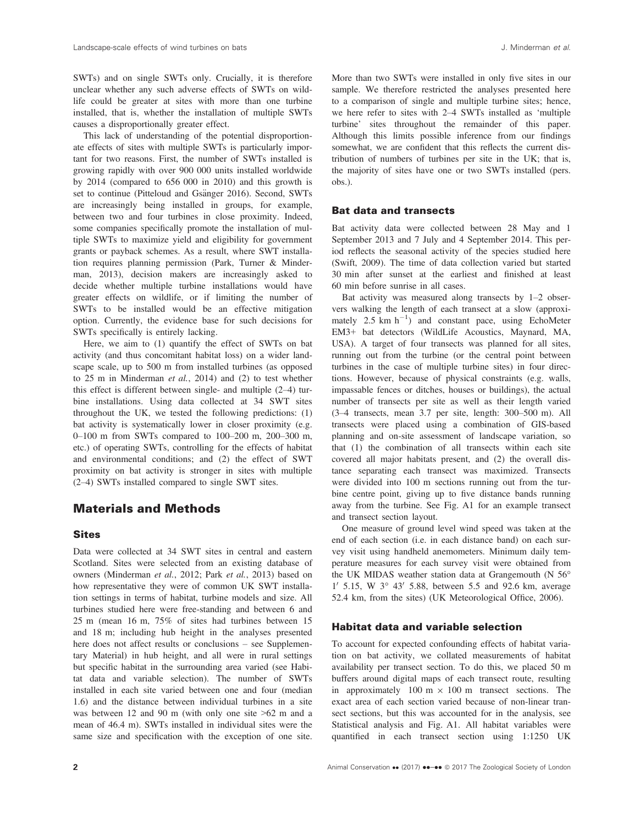SWTs) and on single SWTs only. Crucially, it is therefore unclear whether any such adverse effects of SWTs on wildlife could be greater at sites with more than one turbine installed, that is, whether the installation of multiple SWTs causes a disproportionally greater effect.

This lack of understanding of the potential disproportionate effects of sites with multiple SWTs is particularly important for two reasons. First, the number of SWTs installed is growing rapidly with over 900 000 units installed worldwide by 2014 (compared to 656 000 in 2010) and this growth is set to continue (Pitteloud and Gsänger 2016). Second, SWTs are increasingly being installed in groups, for example, between two and four turbines in close proximity. Indeed, some companies specifically promote the installation of multiple SWTs to maximize yield and eligibility for government grants or payback schemes. As a result, where SWT installation requires planning permission (Park, Turner & Minderman, 2013), decision makers are increasingly asked to decide whether multiple turbine installations would have greater effects on wildlife, or if limiting the number of SWTs to be installed would be an effective mitigation option. Currently, the evidence base for such decisions for SWTs specifically is entirely lacking.

Here, we aim to (1) quantify the effect of SWTs on bat activity (and thus concomitant habitat loss) on a wider landscape scale, up to 500 m from installed turbines (as opposed to 25 m in Minderman et al., 2014) and (2) to test whether this effect is different between single- and multiple (2–4) turbine installations. Using data collected at 34 SWT sites throughout the UK, we tested the following predictions: (1) bat activity is systematically lower in closer proximity (e.g. 0–100 m from SWTs compared to 100–200 m, 200–300 m, etc.) of operating SWTs, controlling for the effects of habitat and environmental conditions; and (2) the effect of SWT proximity on bat activity is stronger in sites with multiple (2–4) SWTs installed compared to single SWT sites.

## Materials and Methods

## **Sites**

Data were collected at 34 SWT sites in central and eastern Scotland. Sites were selected from an existing database of owners (Minderman et al., 2012; Park et al., 2013) based on how representative they were of common UK SWT installation settings in terms of habitat, turbine models and size. All turbines studied here were free-standing and between 6 and 25 m (mean 16 m, 75% of sites had turbines between 15 and 18 m; including hub height in the analyses presented here does not affect results or conclusions – see Supplementary Material) in hub height, and all were in rural settings but specific habitat in the surrounding area varied (see Habitat data and variable selection). The number of SWTs installed in each site varied between one and four (median 1.6) and the distance between individual turbines in a site was between 12 and 90 m (with only one site >62 m and a mean of 46.4 m). SWTs installed in individual sites were the same size and specification with the exception of one site.

More than two SWTs were installed in only five sites in our sample. We therefore restricted the analyses presented here to a comparison of single and multiple turbine sites; hence, we here refer to sites with 2–4 SWTs installed as 'multiple turbine' sites throughout the remainder of this paper. Although this limits possible inference from our findings somewhat, we are confident that this reflects the current distribution of numbers of turbines per site in the UK; that is, the majority of sites have one or two SWTs installed (pers. obs.).

#### Bat data and transects

Bat activity data were collected between 28 May and 1 September 2013 and 7 July and 4 September 2014. This period reflects the seasonal activity of the species studied here (Swift, 2009). The time of data collection varied but started 30 min after sunset at the earliest and finished at least 60 min before sunrise in all cases.

Bat activity was measured along transects by 1–2 observers walking the length of each transect at a slow (approximately  $2.5 \text{ km h}^{-1}$  and constant pace, using EchoMeter EM3+ bat detectors (WildLife Acoustics, Maynard, MA, USA). A target of four transects was planned for all sites, running out from the turbine (or the central point between turbines in the case of multiple turbine sites) in four directions. However, because of physical constraints (e.g. walls, impassable fences or ditches, houses or buildings), the actual number of transects per site as well as their length varied (3–4 transects, mean 3.7 per site, length: 300–500 m). All transects were placed using a combination of GIS-based planning and on-site assessment of landscape variation, so that (1) the combination of all transects within each site covered all major habitats present, and (2) the overall distance separating each transect was maximized. Transects were divided into 100 m sections running out from the turbine centre point, giving up to five distance bands running away from the turbine. See Fig. A1 for an example transect and transect section layout.

One measure of ground level wind speed was taken at the end of each section (i.e. in each distance band) on each survey visit using handheld anemometers. Minimum daily temperature measures for each survey visit were obtained from the UK MIDAS weather station data at Grangemouth (N 56°  $1'$  5.15, W 3° 43′ 5.88, between 5.5 and 92.6 km, average 52.4 km, from the sites) (UK Meteorological Office, 2006).

#### Habitat data and variable selection

To account for expected confounding effects of habitat variation on bat activity, we collated measurements of habitat availability per transect section. To do this, we placed 50 m buffers around digital maps of each transect route, resulting in approximately 100 m  $\times$  100 m transect sections. The exact area of each section varied because of non-linear transect sections, but this was accounted for in the analysis, see Statistical analysis and Fig. A1. All habitat variables were quantified in each transect section using 1:1250 UK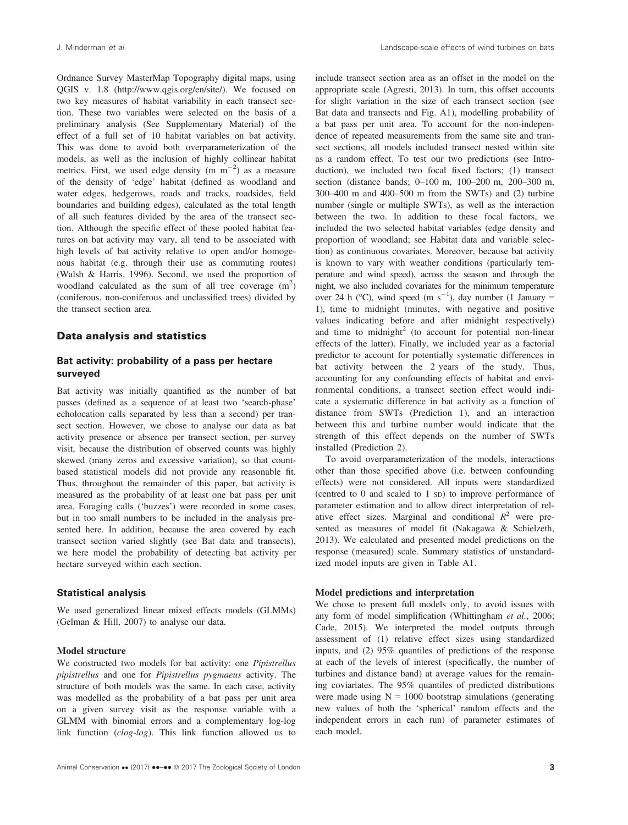Ordnance Survey MasterMap Topography digital maps, using QGIS v. 1.8 (http://www.qgis.org/en/site/). We focused on two key measures of habitat variability in each transect section. These two variables were selected on the basis of a preliminary analysis (See Supplementary Material) of the effect of a full set of 10 habitat variables on bat activity. This was done to avoid both overparameterization of the models, as well as the inclusion of highly collinear habitat metrics. First, we used edge density  $(m \ m^{-2})$  as a measure of the density of 'edge' habitat (defined as woodland and water edges, hedgerows, roads and tracks, roadsides, field boundaries and building edges), calculated as the total length of all such features divided by the area of the transect section. Although the specific effect of these pooled habitat features on bat activity may vary, all tend to be associated with high levels of bat activity relative to open and/or homogenous habitat (e.g. through their use as commuting routes) (Walsh & Harris, 1996). Second, we used the proportion of woodland calculated as the sum of all tree coverage  $(m^2)$ (coniferous, non-coniferous and unclassified trees) divided by the transect section area.

#### Data analysis and statistics

## Bat activity: probability of a pass per hectare surveyed

Bat activity was initially quantified as the number of bat passes (defined as a sequence of at least two 'search-phase' echolocation calls separated by less than a second) per transect section. However, we chose to analyse our data as bat activity presence or absence per transect section, per survey visit, because the distribution of observed counts was highly skewed (many zeros and excessive variation), so that countbased statistical models did not provide any reasonable fit. Thus, throughout the remainder of this paper, bat activity is measured as the probability of at least one bat pass per unit area. Foraging calls ('buzzes') were recorded in some cases, but in too small numbers to be included in the analysis presented here. In addition, because the area covered by each transect section varied slightly (see Bat data and transects), we here model the probability of detecting bat activity per hectare surveyed within each section.

#### Statistical analysis

We used generalized linear mixed effects models (GLMMs) (Gelman & Hill, 2007) to analyse our data.

#### Model structure

We constructed two models for bat activity: one Pipistrellus pipistrellus and one for Pipistrellus pygmaeus activity. The structure of both models was the same. In each case, activity was modelled as the probability of a bat pass per unit area on a given survey visit as the response variable with a GLMM with binomial errors and a complementary log-log link function (clog-log). This link function allowed us to include transect section area as an offset in the model on the appropriate scale (Agresti, 2013). In turn, this offset accounts for slight variation in the size of each transect section (see Bat data and transects and Fig. A1), modelling probability of a bat pass per unit area. To account for the non-independence of repeated measurements from the same site and transect sections, all models included transect nested within site as a random effect. To test our two predictions (see Introduction), we included two focal fixed factors; (1) transect section (distance bands; 0–100 m, 100–200 m, 200–300 m, 300–400 m and 400–500 m from the SWTs) and (2) turbine number (single or multiple SWTs), as well as the interaction between the two. In addition to these focal factors, we included the two selected habitat variables (edge density and proportion of woodland; see Habitat data and variable selection) as continuous covariates. Moreover, because bat activity is known to vary with weather conditions (particularly temperature and wind speed), across the season and through the night, we also included covariates for the minimum temperature over 24 h ( $^{\circ}$ C), wind speed (m s<sup>-1</sup>), day number (1 January = 1), time to midnight (minutes, with negative and positive values indicating before and after midnight respectively) and time to midnight<sup>2</sup> (to account for potential non-linear effects of the latter). Finally, we included year as a factorial predictor to account for potentially systematic differences in bat activity between the 2 years of the study. Thus, accounting for any confounding effects of habitat and environmental conditions, a transect section effect would indicate a systematic difference in bat activity as a function of distance from SWTs (Prediction 1), and an interaction between this and turbine number would indicate that the strength of this effect depends on the number of SWTs installed (Prediction 2).

To avoid overparameterization of the models, interactions other than those specified above (i.e. between confounding effects) were not considered. All inputs were standardized (centred to 0 and scaled to 1 SD) to improve performance of parameter estimation and to allow direct interpretation of relative effect sizes. Marginal and conditional  $R^2$  were presented as measures of model fit (Nakagawa & Schielzeth, 2013). We calculated and presented model predictions on the response (measured) scale. Summary statistics of unstandardized model inputs are given in Table A1.

#### Model predictions and interpretation

We chose to present full models only, to avoid issues with any form of model simplification (Whittingham et al., 2006; Cade, 2015). We interpreted the model outputs through assessment of (1) relative effect sizes using standardized inputs, and (2) 95% quantiles of predictions of the response at each of the levels of interest (specifically, the number of turbines and distance band) at average values for the remaining coviariates. The 95% quantiles of predicted distributions were made using  $N = 1000$  bootstrap simulations (generating new values of both the 'spherical' random effects and the independent errors in each run) of parameter estimates of each model.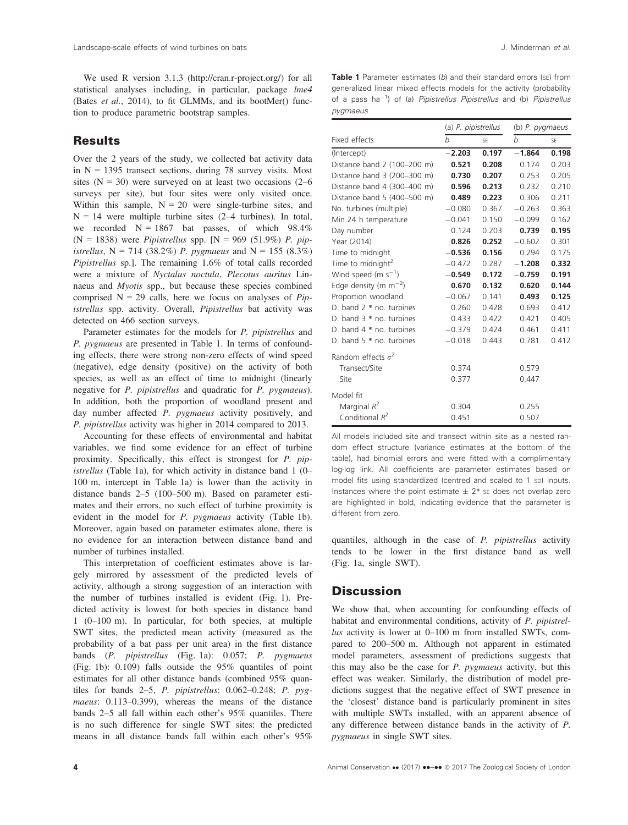We used R version 3.1.3 (http://cran.r-project.org/) for all statistical analyses including, in particular, package lme4 (Bates et al., 2014), to fit GLMMs, and its bootMer() function to produce parametric bootstrap samples.

## **Results**

Over the 2 years of the study, we collected bat activity data in  $N = 1395$  transect sections, during 78 survey visits. Most sites  $(N = 30)$  were surveyed on at least two occasions  $(2-6)$ surveys per site), but four sites were only visited once. Within this sample,  $N = 20$  were single-turbine sites, and  $N = 14$  were multiple turbine sites (2–4 turbines). In total, we recorded  $N = 1867$  bat passes, of which  $98.4\%$  $(N = 1838)$  were *Pipistrellus* spp.  $[N = 969 (51.9\%)$  *P. pip*istrellus, N = 714 (38.2%) P. pygmaeus and N = 155 (8.3%) Pipistrellus sp.]. The remaining 1.6% of total calls recorded were a mixture of Nyctalus noctula, Plecotus auritus Linnaeus and Myotis spp., but because these species combined comprised  $N = 29$  calls, here we focus on analyses of *Pip*istrellus spp. activity. Overall, Pipistrellus bat activity was detected on 466 section surveys.

Parameter estimates for the models for P. pipistrellus and P. pygmaeus are presented in Table 1. In terms of confounding effects, there were strong non-zero effects of wind speed (negative), edge density (positive) on the activity of both species, as well as an effect of time to midnight (linearly negative for *P. pipistrellus* and quadratic for *P. pygmaeus*). In addition, both the proportion of woodland present and day number affected P. pygmaeus activity positively, and P. pipistrellus activity was higher in 2014 compared to 2013.

Accounting for these effects of environmental and habitat variables, we find some evidence for an effect of turbine proximity. Specifically, this effect is strongest for P. pipistrellus (Table 1a), for which activity in distance band 1 (0– 100 m, intercept in Table 1a) is lower than the activity in distance bands 2–5 (100–500 m). Based on parameter estimates and their errors, no such effect of turbine proximity is evident in the model for *P. pygmaeus* activity (Table 1b). Moreover, again based on parameter estimates alone, there is no evidence for an interaction between distance band and number of turbines installed.

This interpretation of coefficient estimates above is largely mirrored by assessment of the predicted levels of activity, although a strong suggestion of an interaction with the number of turbines installed is evident (Fig. 1). Predicted activity is lowest for both species in distance band 1 (0–100 m). In particular, for both species, at multiple SWT sites, the predicted mean activity (measured as the probability of a bat pass per unit area) in the first distance bands (P. pipistrellus (Fig. 1a): 0.057; P. pygmaeus (Fig. 1b): 0.109) falls outside the 95% quantiles of point estimates for all other distance bands (combined 95% quantiles for bands 2–5, P. pipistrellus: 0.062–0.248; P. pygmaeus: 0.113–0.399), whereas the means of the distance bands 2–5 all fall within each other's 95% quantiles. There is no such difference for single SWT sites: the predicted means in all distance bands fall within each other's 95%

Table 1 Parameter estimates (b) and their standard errors (se) from generalized linear mixed effects models for the activity (probability of a pass ha<sup>-1</sup>) of (a) *Pipistrellus Pipistrellus* and (b) *Pipistrellus* means pyamaeus

| Fixed effects                 | (a) P. pipistrellus |           | (b) P. pygmaeus |       |
|-------------------------------|---------------------|-----------|-----------------|-------|
|                               | b                   | <b>SE</b> | b               | SE    |
| (Intercept)                   | $-2.203$            | 0.197     | $-1.864$        | 0.198 |
| Distance band 2 (100-200 m)   | 0.521               | 0.208     | 0.174           | 0.203 |
| Distance band 3 (200-300 m)   | 0.730               | 0.207     | 0.253           | 0.205 |
| Distance band 4 (300-400 m)   | 0.596               | 0.213     | 0.232           | 0.210 |
| Distance band 5 (400-500 m)   | 0.489               | 0.223     | 0.306           | 0.211 |
| No. turbines (multiple)       | $-0.080$            | 0.367     | $-0.263$        | 0.363 |
| Min 24 h temperature          | $-0.041$            | 0.150     | $-0.099$        | 0.162 |
| Day number                    | 0.124               | 0.203     | 0.739           | 0.195 |
| Year (2014)                   | 0.826               | 0.252     | $-0.602$        | 0.301 |
| Time to midnight              | $-0.536$            | 0.156     | 0.294           | 0.175 |
| Time to midnight <sup>2</sup> | $-0.472$            | 0.287     | $-1.208$        | 0.332 |
| Wind speed (m $s^{-1}$ )      | $-0.549$            | 0.172     | $-0.759$        | 0.191 |
| Edge density (m $m^{-2}$ )    | 0.670               | 0.132     | 0.620           | 0.144 |
| Proportion woodland           | $-0.067$            | 0.141     | 0.493           | 0.125 |
| D. band 2 * no. turbines      | 0.260               | 0.428     | 0.693           | 0.412 |
| D. band 3 * no. turbines      | 0.433               | 0.422     | 0.421           | 0.405 |
| D. band 4 * no. turbines      | $-0.379$            | 0.424     | 0.461           | 0.411 |
| D. band 5 * no. turbines      | $-0.018$            | 0.443     | 0.781           | 0.412 |
| Random effects $\sigma^2$     |                     |           |                 |       |
| Transect/Site                 | 0.374               |           | 0.579           |       |
| Site                          | 0.377               |           | 0.447           |       |
| Model fit                     |                     |           |                 |       |
| Marginal $R^2$                | 0.304               |           | 0.255           |       |
| Conditional $R^2$             | 0.451               |           | 0.507           |       |

All models included site and transect within site as a nested random effect structure (variance estimates at the bottom of the table), had binomial errors and were fitted with a complimentary log-log link. All coefficients are parameter estimates based on model fits using standardized (centred and scaled to 1 sp) inputs. Instances where the point estimate  $\pm 2^*$  se does not overlap zero are highlighted in bold, indicating evidence that the parameter is different from zero.

quantiles, although in the case of P. pipistrellus activity tends to be lower in the first distance band as well (Fig. 1a, single SWT).

## **Discussion**

We show that, when accounting for confounding effects of habitat and environmental conditions, activity of P. pipistrellus activity is lower at 0–100 m from installed SWTs, compared to 200–500 m. Although not apparent in estimated model parameters, assessment of predictions suggests that this may also be the case for  $P$ .  $pyg$  maeus activity, but this effect was weaker. Similarly, the distribution of model predictions suggest that the negative effect of SWT presence in the 'closest' distance band is particularly prominent in sites with multiple SWTs installed, with an apparent absence of any difference between distance bands in the activity of P. pygmaeus in single SWT sites.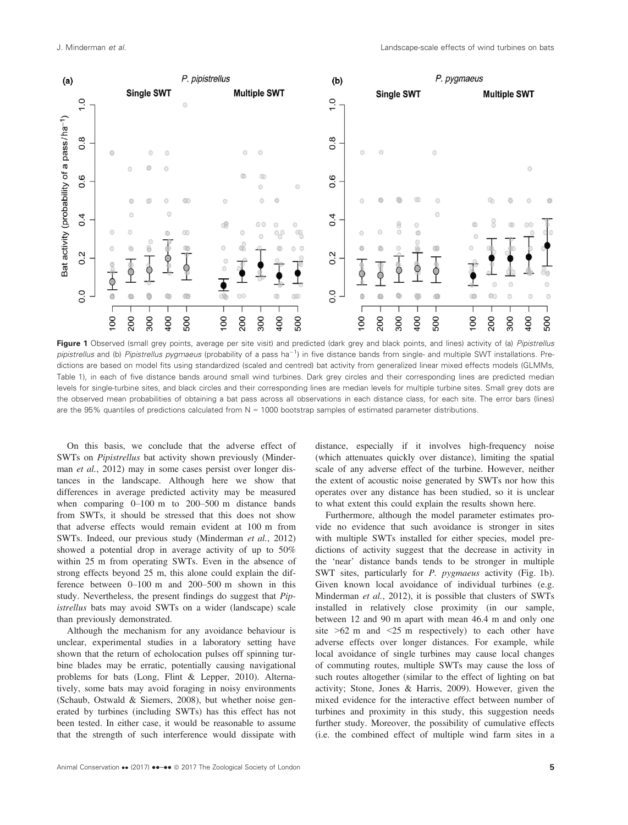

Figure 1 Observed (small grey points, average per site visit) and predicted (dark grey and black points, and lines) activity of (a) Pipistrellus pipistrellus and (b) Pipistrellus pygmaeus (probability of a pass ha<sup>-1</sup>) in five distance bands from single- and multiple SWT installations. Pre-<br>distince are based an model fite using standardized (soled and control) bet dictions are based on model fits using standardized (scaled and centred) bat activity from generalized linear mixed effects models (GLMMs, Table 1), in each of five distance bands around small wind turbines. Dark grey circles and their corresponding lines are predicted median levels for single-turbine sites, and black circles and their corresponding lines are median levels for multiple turbine sites. Small grey dots are the observed mean probabilities of obtaining a bat pass across all observations in each distance class, for each site. The error bars (lines) are the 95% quantiles of predictions calculated from  $N = 1000$  bootstrap samples of estimated parameter distributions.

On this basis, we conclude that the adverse effect of SWTs on Pipistrellus bat activity shown previously (Minderman et al., 2012) may in some cases persist over longer distances in the landscape. Although here we show that differences in average predicted activity may be measured when comparing 0–100 m to 200–500 m distance bands from SWTs, it should be stressed that this does not show that adverse effects would remain evident at 100 m from SWTs. Indeed, our previous study (Minderman et al., 2012) showed a potential drop in average activity of up to 50% within 25 m from operating SWTs. Even in the absence of strong effects beyond 25 m, this alone could explain the difference between 0–100 m and 200–500 m shown in this study. Nevertheless, the present findings do suggest that Pipistrellus bats may avoid SWTs on a wider (landscape) scale than previously demonstrated.

Although the mechanism for any avoidance behaviour is unclear, experimental studies in a laboratory setting have shown that the return of echolocation pulses off spinning turbine blades may be erratic, potentially causing navigational problems for bats (Long, Flint & Lepper, 2010). Alternatively, some bats may avoid foraging in noisy environments (Schaub, Ostwald & Siemers, 2008), but whether noise generated by turbines (including SWTs) has this effect has not been tested. In either case, it would be reasonable to assume that the strength of such interference would dissipate with

distance, especially if it involves high-frequency noise (which attenuates quickly over distance), limiting the spatial scale of any adverse effect of the turbine. However, neither the extent of acoustic noise generated by SWTs nor how this operates over any distance has been studied, so it is unclear to what extent this could explain the results shown here.

Furthermore, although the model parameter estimates provide no evidence that such avoidance is stronger in sites with multiple SWTs installed for either species, model predictions of activity suggest that the decrease in activity in the 'near' distance bands tends to be stronger in multiple SWT sites, particularly for *P. pygmaeus* activity (Fig. 1b). Given known local avoidance of individual turbines (e.g. Minderman et al., 2012), it is possible that clusters of SWTs installed in relatively close proximity (in our sample, between 12 and 90 m apart with mean 46.4 m and only one site  $>62$  m and  $<25$  m respectively) to each other have adverse effects over longer distances. For example, while local avoidance of single turbines may cause local changes of commuting routes, multiple SWTs may cause the loss of such routes altogether (similar to the effect of lighting on bat activity; Stone, Jones & Harris, 2009). However, given the mixed evidence for the interactive effect between number of turbines and proximity in this study, this suggestion needs further study. Moreover, the possibility of cumulative effects (i.e. the combined effect of multiple wind farm sites in a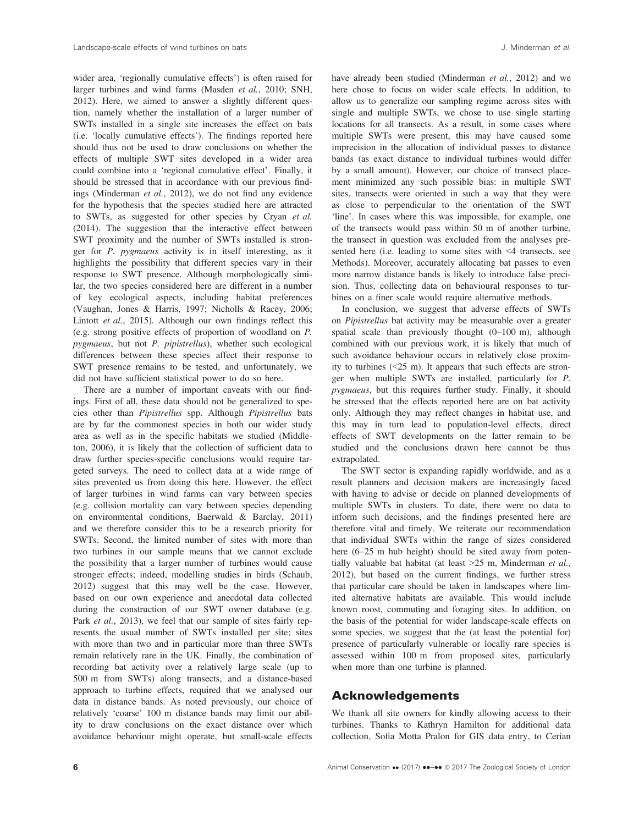wider area, 'regionally cumulative effects') is often raised for larger turbines and wind farms (Masden et al., 2010; SNH, 2012). Here, we aimed to answer a slightly different question, namely whether the installation of a larger number of SWTs installed in a single site increases the effect on bats (i.e. 'locally cumulative effects'). The findings reported here should thus not be used to draw conclusions on whether the effects of multiple SWT sites developed in a wider area could combine into a 'regional cumulative effect'. Finally, it should be stressed that in accordance with our previous findings (Minderman et al., 2012), we do not find any evidence for the hypothesis that the species studied here are attracted to SWTs, as suggested for other species by Cryan et al. (2014). The suggestion that the interactive effect between SWT proximity and the number of SWTs installed is stronger for P. pygmaeus activity is in itself interesting, as it highlights the possibility that different species vary in their response to SWT presence. Although morphologically similar, the two species considered here are different in a number of key ecological aspects, including habitat preferences (Vaughan, Jones & Harris, 1997; Nicholls & Racey, 2006; Lintott et al., 2015). Although our own findings reflect this (e.g. strong positive effects of proportion of woodland on P. pygmaeus, but not P. pipistrellus), whether such ecological differences between these species affect their response to SWT presence remains to be tested, and unfortunately, we did not have sufficient statistical power to do so here.

There are a number of important caveats with our findings. First of all, these data should not be generalized to species other than Pipistrellus spp. Although Pipistrellus bats are by far the commonest species in both our wider study area as well as in the specific habitats we studied (Middleton, 2006), it is likely that the collection of sufficient data to draw further species-specific conclusions would require targeted surveys. The need to collect data at a wide range of sites prevented us from doing this here. However, the effect of larger turbines in wind farms can vary between species (e.g. collision mortality can vary between species depending on environmental conditions, Baerwald & Barclay, 2011) and we therefore consider this to be a research priority for SWTs. Second, the limited number of sites with more than two turbines in our sample means that we cannot exclude the possibility that a larger number of turbines would cause stronger effects; indeed, modelling studies in birds (Schaub, 2012) suggest that this may well be the case. However, based on our own experience and anecdotal data collected during the construction of our SWT owner database (e.g. Park *et al.*, 2013), we feel that our sample of sites fairly represents the usual number of SWTs installed per site; sites with more than two and in particular more than three SWTs remain relatively rare in the UK. Finally, the combination of recording bat activity over a relatively large scale (up to 500 m from SWTs) along transects, and a distance-based approach to turbine effects, required that we analysed our data in distance bands. As noted previously, our choice of relatively 'coarse' 100 m distance bands may limit our ability to draw conclusions on the exact distance over which avoidance behaviour might operate, but small-scale effects

have already been studied (Minderman et al., 2012) and we here chose to focus on wider scale effects. In addition, to allow us to generalize our sampling regime across sites with single and multiple SWTs, we chose to use single starting locations for all transects. As a result, in some cases where multiple SWTs were present, this may have caused some imprecision in the allocation of individual passes to distance bands (as exact distance to individual turbines would differ by a small amount). However, our choice of transect placement minimized any such possible bias: in multiple SWT sites, transects were oriented in such a way that they were as close to perpendicular to the orientation of the SWT 'line'. In cases where this was impossible, for example, one of the transects would pass within 50 m of another turbine, the transect in question was excluded from the analyses presented here (i.e. leading to some sites with <4 transects, see Methods). Moreover, accurately allocating bat passes to even more narrow distance bands is likely to introduce false precision. Thus, collecting data on behavioural responses to turbines on a finer scale would require alternative methods.

In conclusion, we suggest that adverse effects of SWTs on Pipistrellus bat activity may be measurable over a greater spatial scale than previously thought (0–100 m), although combined with our previous work, it is likely that much of such avoidance behaviour occurs in relatively close proximity to turbines  $(\leq 25 \text{ m})$ . It appears that such effects are stronger when multiple SWTs are installed, particularly for P. pygmaeus, but this requires further study. Finally, it should be stressed that the effects reported here are on bat activity only. Although they may reflect changes in habitat use, and this may in turn lead to population-level effects, direct effects of SWT developments on the latter remain to be studied and the conclusions drawn here cannot be thus extrapolated.

The SWT sector is expanding rapidly worldwide, and as a result planners and decision makers are increasingly faced with having to advise or decide on planned developments of multiple SWTs in clusters. To date, there were no data to inform such decisions, and the findings presented here are therefore vital and timely. We reiterate our recommendation that individual SWTs within the range of sizes considered here (6–25 m hub height) should be sited away from potentially valuable bat habitat (at least >25 m, Minderman et al., 2012), but based on the current findings, we further stress that particular care should be taken in landscapes where limited alternative habitats are available. This would include known roost, commuting and foraging sites. In addition, on the basis of the potential for wider landscape-scale effects on some species, we suggest that the (at least the potential for) presence of particularly vulnerable or locally rare species is assessed within 100 m from proposed sites, particularly when more than one turbine is planned.

## Acknowledgements

We thank all site owners for kindly allowing access to their turbines. Thanks to Kathryn Hamilton for additional data collection, Sofia Motta Pralon for GIS data entry, to Cerian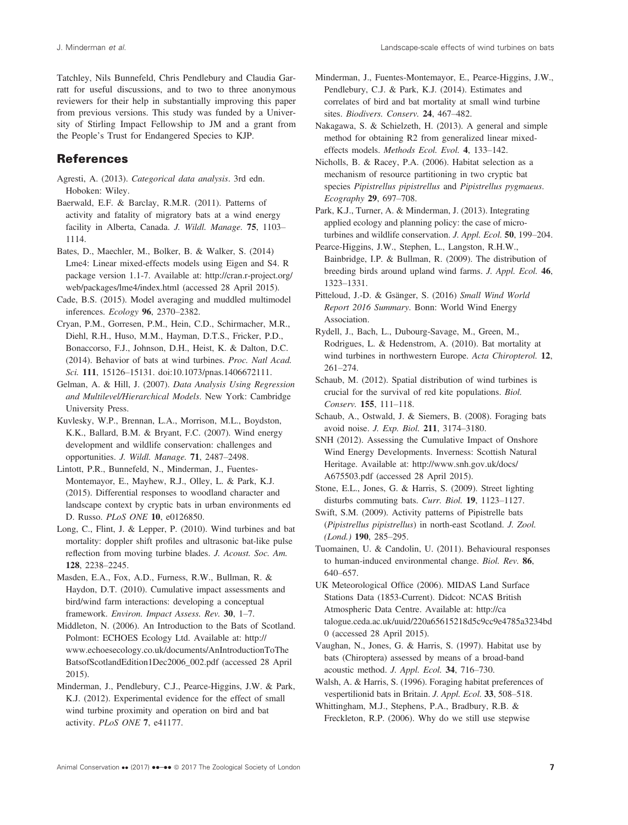Tatchley, Nils Bunnefeld, Chris Pendlebury and Claudia Garratt for useful discussions, and to two to three anonymous reviewers for their help in substantially improving this paper from previous versions. This study was funded by a University of Stirling Impact Fellowship to JM and a grant from the People's Trust for Endangered Species to KJP.

## References

- Agresti, A. (2013). Categorical data analysis. 3rd edn. Hoboken: Wiley.
- Baerwald, E.F. & Barclay, R.M.R. (2011). Patterns of activity and fatality of migratory bats at a wind energy facility in Alberta, Canada. J. Wildl. Manage. 75, 1103– 1114.
- Bates, D., Maechler, M., Bolker, B. & Walker, S. (2014) Lme4: Linear mixed-effects models using Eigen and S4. R package version 1.1-7. Available at: http://cran.r-project.org/ web/packages/lme4/index.html (accessed 28 April 2015).
- Cade, B.S. (2015). Model averaging and muddled multimodel inferences. Ecology 96, 2370–2382.
- Cryan, P.M., Gorresen, P.M., Hein, C.D., Schirmacher, M.R., Diehl, R.H., Huso, M.M., Hayman, D.T.S., Fricker, P.D., Bonaccorso, F.J., Johnson, D.H., Heist, K. & Dalton, D.C. (2014). Behavior of bats at wind turbines. Proc. Natl Acad. Sci. 111, 15126–15131. doi:10.1073/pnas.1406672111.
- Gelman, A. & Hill, J. (2007). Data Analysis Using Regression and Multilevel/Hierarchical Models. New York: Cambridge University Press.
- Kuvlesky, W.P., Brennan, L.A., Morrison, M.L., Boydston, K.K., Ballard, B.M. & Bryant, F.C. (2007). Wind energy development and wildlife conservation: challenges and opportunities. J. Wildl. Manage. 71, 2487–2498.
- Lintott, P.R., Bunnefeld, N., Minderman, J., Fuentes-Montemayor, E., Mayhew, R.J., Olley, L. & Park, K.J. (2015). Differential responses to woodland character and landscape context by cryptic bats in urban environments ed D. Russo. PLoS ONE 10, e0126850.
- Long, C., Flint, J. & Lepper, P. (2010). Wind turbines and bat mortality: doppler shift profiles and ultrasonic bat-like pulse reflection from moving turbine blades. J. Acoust. Soc. Am. 128, 2238–2245.
- Masden, E.A., Fox, A.D., Furness, R.W., Bullman, R. & Haydon, D.T. (2010). Cumulative impact assessments and bird/wind farm interactions: developing a conceptual framework. Environ. Impact Assess. Rev. 30, 1–7.
- Middleton, N. (2006). An Introduction to the Bats of Scotland. Polmont: ECHOES Ecology Ltd. Available at: http:// www.echoesecology.co.uk/documents/AnIntroductionToThe BatsofScotlandEdition1Dec2006\_002.pdf (accessed 28 April 2015).
- Minderman, J., Pendlebury, C.J., Pearce-Higgins, J.W. & Park, K.J. (2012). Experimental evidence for the effect of small wind turbine proximity and operation on bird and bat activity. PLoS ONE 7, e41177.
- Minderman, J., Fuentes-Montemayor, E., Pearce-Higgins, J.W., Pendlebury, C.J. & Park, K.J. (2014). Estimates and correlates of bird and bat mortality at small wind turbine sites. Biodivers. Conserv. 24, 467–482.
- Nakagawa, S. & Schielzeth, H. (2013). A general and simple method for obtaining R2 from generalized linear mixedeffects models. Methods Ecol. Evol. 4, 133–142.
- Nicholls, B. & Racey, P.A. (2006). Habitat selection as a mechanism of resource partitioning in two cryptic bat species Pipistrellus pipistrellus and Pipistrellus pygmaeus. Ecography 29, 697–708.
- Park, K.J., Turner, A. & Minderman, J. (2013). Integrating applied ecology and planning policy: the case of microturbines and wildlife conservation. J. Appl. Ecol. 50, 199–204.
- Pearce-Higgins, J.W., Stephen, L., Langston, R.H.W., Bainbridge, I.P. & Bullman, R. (2009). The distribution of breeding birds around upland wind farms. J. Appl. Ecol. 46, 1323–1331.
- Pitteloud, J.-D. & Gsänger, S. (2016) Small Wind World Report 2016 Summary. Bonn: World Wind Energy Association.
- Rydell, J., Bach, L., Dubourg-Savage, M., Green, M., Rodrigues, L. & Hedenstrom, A. (2010). Bat mortality at wind turbines in northwestern Europe. Acta Chiropterol. 12, 261–274.
- Schaub, M. (2012). Spatial distribution of wind turbines is crucial for the survival of red kite populations. Biol. Conserv. 155, 111–118.
- Schaub, A., Ostwald, J. & Siemers, B. (2008). Foraging bats avoid noise. J. Exp. Biol. 211, 3174–3180.
- SNH (2012). Assessing the Cumulative Impact of Onshore Wind Energy Developments. Inverness: Scottish Natural Heritage. Available at: http://www.snh.gov.uk/docs/ A675503.pdf (accessed 28 April 2015).
- Stone, E.L., Jones, G. & Harris, S. (2009). Street lighting disturbs commuting bats. Curr. Biol. 19, 1123–1127.
- Swift, S.M. (2009). Activity patterns of Pipistrelle bats (Pipistrellus pipistrellus) in north-east Scotland. J. Zool. (Lond.) 190, 285–295.
- Tuomainen, U. & Candolin, U. (2011). Behavioural responses to human-induced environmental change. Biol. Rev. 86, 640–657.
- UK Meteorological Office (2006). MIDAS Land Surface Stations Data (1853-Current). Didcot: NCAS British Atmospheric Data Centre. Available at: http://ca talogue.ceda.ac.uk/uuid/220a65615218d5c9cc9e4785a3234bd 0 (accessed 28 April 2015).
- Vaughan, N., Jones, G. & Harris, S. (1997). Habitat use by bats (Chiroptera) assessed by means of a broad-band acoustic method. J. Appl. Ecol. 34, 716–730.
- Walsh, A. & Harris, S. (1996). Foraging habitat preferences of vespertilionid bats in Britain. J. Appl. Ecol. 33, 508–518.
- Whittingham, M.J., Stephens, P.A., Bradbury, R.B. & Freckleton, R.P. (2006). Why do we still use stepwise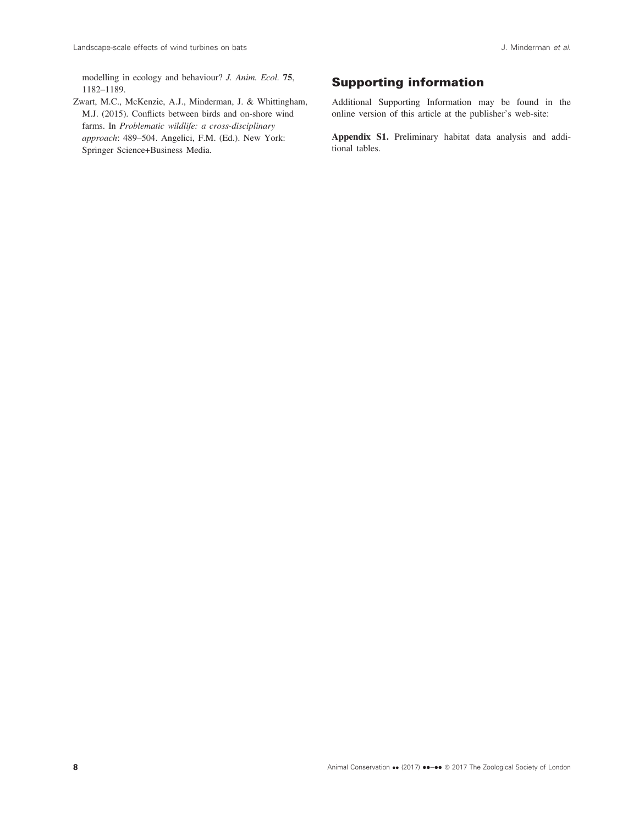modelling in ecology and behaviour? J. Anim. Ecol. 75, 1182–1189.

## Supporting information

Additional Supporting Information may be found in the online version of this article at the publisher's web-site:

Appendix S1. Preliminary habitat data analysis and additional tables.

Zwart, M.C., McKenzie, A.J., Minderman, J. & Whittingham, M.J. (2015). Conflicts between birds and on-shore wind farms. In Problematic wildlife: a cross-disciplinary approach: 489–504. Angelici, F.M. (Ed.). New York: Springer Science+Business Media.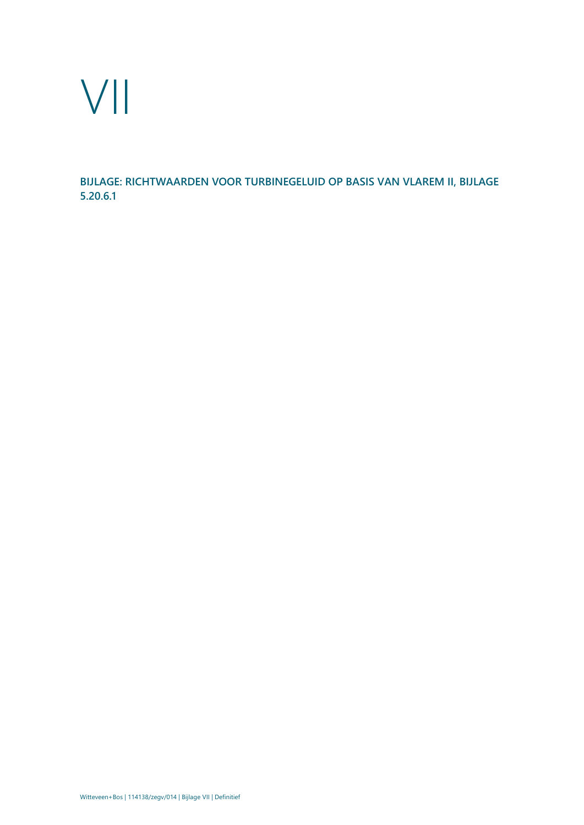

**BIJLAGE: RICHTWAARDEN VOOR TURBINEGELUID OP BASIS VAN VLAREM II, BIJLAGE 5.20.6.1**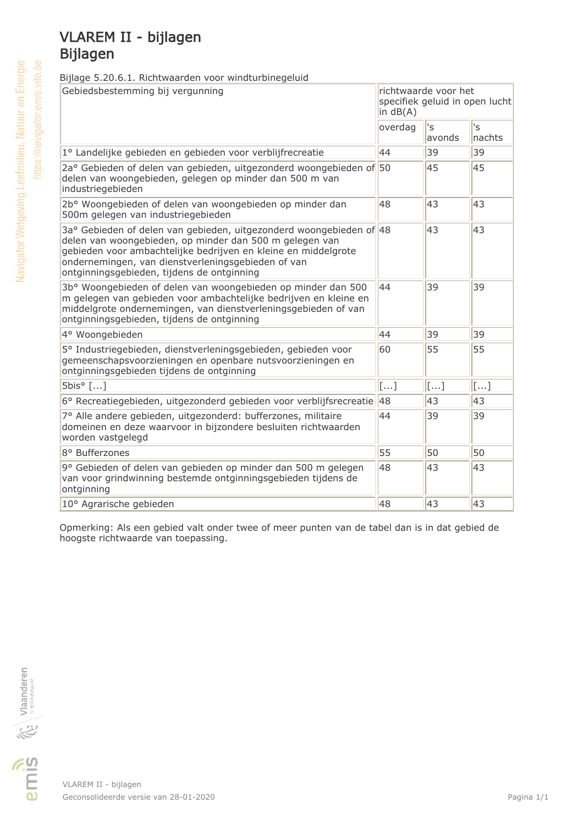## VLAREM II - bijlagen Bijlagen

## Bijlage 5.20.6.1. Richtwaarden voor windturbinegeluid

| Gebiedsbestemming bij vergunning                                                                                                                                                                                                                                                                     |                          | richtwaarde voor het<br>specifiek geluid in open lucht<br>in $dB(A)$ |                       |  |
|------------------------------------------------------------------------------------------------------------------------------------------------------------------------------------------------------------------------------------------------------------------------------------------------------|--------------------------|----------------------------------------------------------------------|-----------------------|--|
|                                                                                                                                                                                                                                                                                                      | overdag                  | 's<br>avonds                                                         | 's<br>nachts          |  |
| 1º Landelijke gebieden en gebieden voor verblijfrecreatie                                                                                                                                                                                                                                            | 44                       | 39                                                                   | 39                    |  |
| 2a° Gebieden of delen van gebieden, uitgezonderd woongebieden of 50<br>delen van woongebieden, gelegen op minder dan 500 m van<br>industriegebieden                                                                                                                                                  |                          | 45                                                                   | 45                    |  |
| 2b° Woongebieden of delen van woongebieden op minder dan<br>500m gelegen van industriegebieden                                                                                                                                                                                                       | 48                       | 43                                                                   | 43                    |  |
| 3a° Gebieden of delen van gebieden, uitgezonderd woongebieden of 48<br>delen van woongebieden, op minder dan 500 m gelegen van<br>gebieden voor ambachtelijke bedrijven en kleine en middelgrote<br>ondernemingen, van dienstverleningsgebieden of van<br>ontginningsgebieden, tijdens de ontginning |                          | 43                                                                   | 43                    |  |
| 3b° Woongebieden of delen van woongebieden op minder dan 500<br>m gelegen van gebieden voor ambachtelijke bedrijven en kleine en<br>middelgrote ondernemingen, van dienstverleningsgebieden of van<br>ontginningsgebieden, tijdens de ontginning                                                     | 44                       | 39                                                                   | 39                    |  |
| 4° Woongebieden                                                                                                                                                                                                                                                                                      | 44                       | 39                                                                   | 39                    |  |
| 5° Industriegebieden, dienstverleningsgebieden, gebieden voor<br>gemeenschapsvoorzieningen en openbare nutsvoorzieningen en<br>ontginningsgebieden tijdens de ontginning                                                                                                                             | 60                       | 55                                                                   | 55                    |  |
| $5bis^{\circ}$ []                                                                                                                                                                                                                                                                                    | $\llbracket  \rrbracket$ | []                                                                   | $\left[\ldots\right]$ |  |
| 6° Recreatiegebieden, uitgezonderd gebieden voor verblijfsrecreatie                                                                                                                                                                                                                                  | 48                       | 43                                                                   | 43                    |  |
| 7º Alle andere gebieden, uitgezonderd: bufferzones, militaire<br>domeinen en deze waarvoor in bijzondere besluiten richtwaarden<br>worden vastgelegd                                                                                                                                                 | 44                       | 39                                                                   | 39                    |  |
| 8° Bufferzones                                                                                                                                                                                                                                                                                       | 55                       | 50                                                                   | 50                    |  |
| 9° Gebieden of delen van gebieden op minder dan 500 m gelegen<br>van voor grindwinning bestemde ontginningsgebieden tijdens de<br>ontginning                                                                                                                                                         | 48                       | 43                                                                   | 43                    |  |
| 10° Agrarische gebieden                                                                                                                                                                                                                                                                              | 48                       | 43                                                                   | 43                    |  |

Opmerking: Als een gebied valt onder twee of meer punten van de tabel dan is in dat gebied de hoogste richtwaarde van toepassing.

Navigator Wetgeving Leefmilieu, Natuur en Energie

https://navigator.emis.vito.be